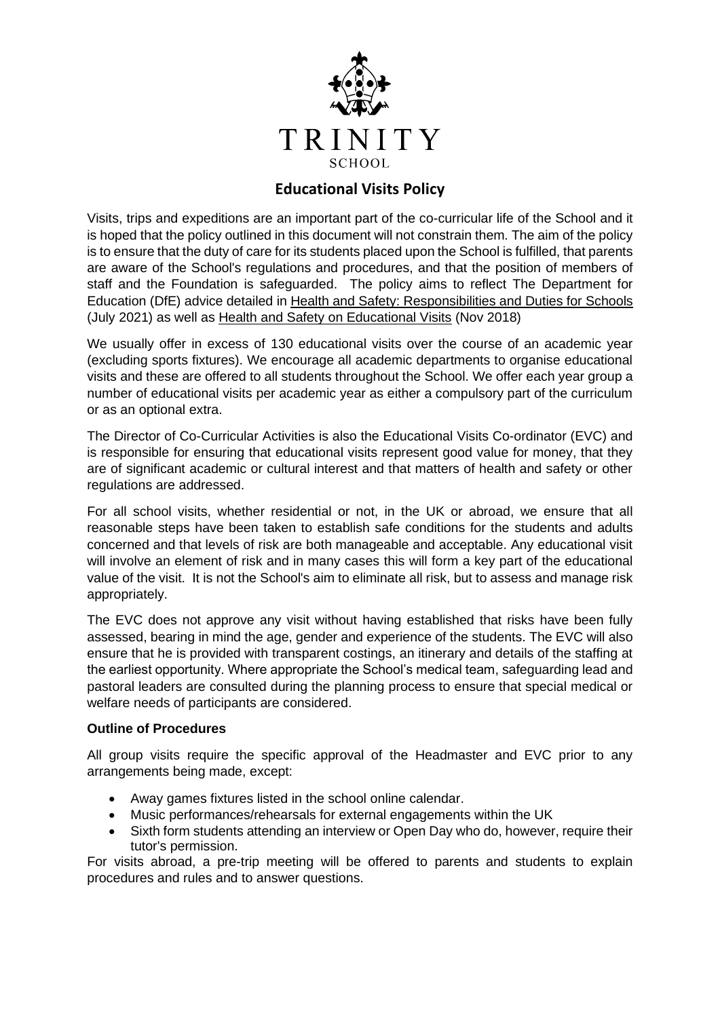

# **Educational Visits Policy**

Visits, trips and expeditions are an important part of the co-curricular life of the School and it is hoped that the policy outlined in this document will not constrain them. The aim of the policy is to ensure that the duty of care for its students placed upon the School is fulfilled, that parents are aware of the School's regulations and procedures, and that the position of members of staff and the Foundation is safeguarded. The policy aims to reflect The Department for Education (DfE) advice detailed in [Health and Safety: Responsibilities and Duties for Schools](https://www.gov.uk/government/publications/health-and-safety-advice-for-schools/responsibilities-and-duties-for-schools) (July 2021) as well as [Health and Safety on Educational Visits](https://www.gov.uk/government/publications/health-and-safety-on-educational-visits/health-and-safety-on-educational-visits) (Nov 2018)

We usually offer in excess of 130 educational visits over the course of an academic year (excluding sports fixtures). We encourage all academic departments to organise educational visits and these are offered to all students throughout the School. We offer each year group a number of educational visits per academic year as either a compulsory part of the curriculum or as an optional extra.

The Director of Co-Curricular Activities is also the Educational Visits Co-ordinator (EVC) and is responsible for ensuring that educational visits represent good value for money, that they are of significant academic or cultural interest and that matters of health and safety or other regulations are addressed.

For all school visits, whether residential or not, in the UK or abroad, we ensure that all reasonable steps have been taken to establish safe conditions for the students and adults concerned and that levels of risk are both manageable and acceptable. Any educational visit will involve an element of risk and in many cases this will form a key part of the educational value of the visit. It is not the School's aim to eliminate all risk, but to assess and manage risk appropriately.

The EVC does not approve any visit without having established that risks have been fully assessed, bearing in mind the age, gender and experience of the students. The EVC will also ensure that he is provided with transparent costings, an itinerary and details of the staffing at the earliest opportunity. Where appropriate the School's medical team, safeguarding lead and pastoral leaders are consulted during the planning process to ensure that special medical or welfare needs of participants are considered.

### **Outline of Procedures**

All group visits require the specific approval of the Headmaster and EVC prior to any arrangements being made, except:

- Away games fixtures listed in the school online calendar.
- Music performances/rehearsals for external engagements within the UK
- Sixth form students attending an interview or Open Day who do, however, require their tutor's permission.

For visits abroad, a pre-trip meeting will be offered to parents and students to explain procedures and rules and to answer questions.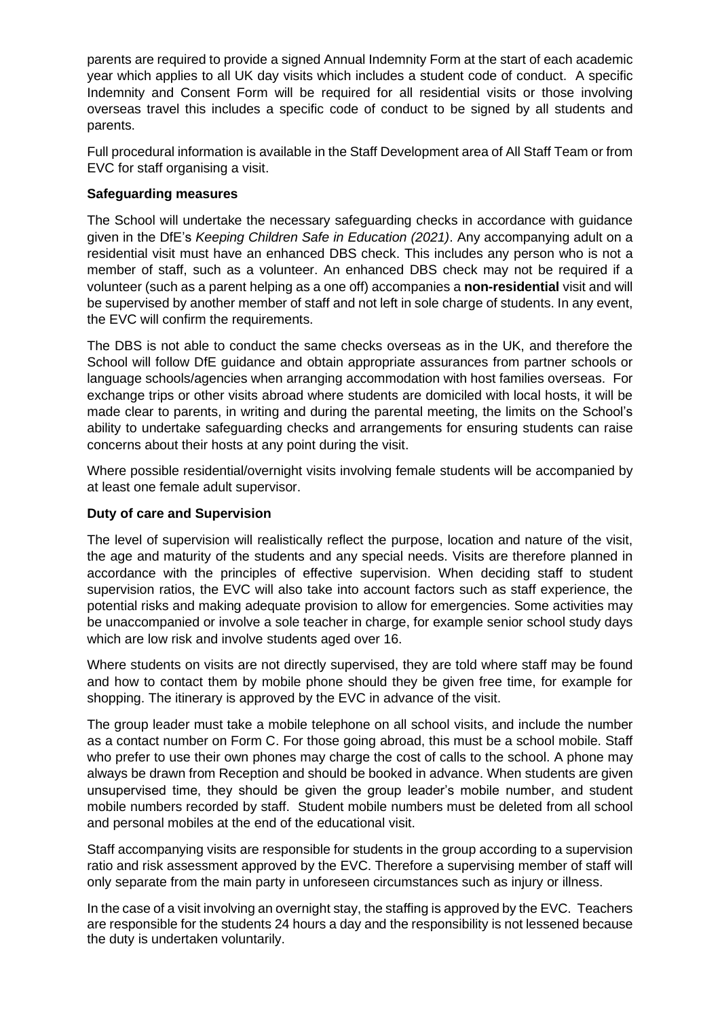parents are required to provide a signed Annual Indemnity Form at the start of each academic year which applies to all UK day visits which includes a student code of conduct. A specific Indemnity and Consent Form will be required for all residential visits or those involving overseas travel this includes a specific code of conduct to be signed by all students and parents.

Full procedural information is available in the Staff Development area of All Staff Team or from EVC for staff organising a visit.

### **Safeguarding measures**

The School will undertake the necessary safeguarding checks in accordance with guidance given in the DfE's *Keeping Children Safe in Education (2021)*. Any accompanying adult on a residential visit must have an enhanced DBS check. This includes any person who is not a member of staff, such as a volunteer. An enhanced DBS check may not be required if a volunteer (such as a parent helping as a one off) accompanies a **non-residential** visit and will be supervised by another member of staff and not left in sole charge of students. In any event, the EVC will confirm the requirements.

The DBS is not able to conduct the same checks overseas as in the UK, and therefore the School will follow DfE guidance and obtain appropriate assurances from partner schools or language schools/agencies when arranging accommodation with host families overseas. For exchange trips or other visits abroad where students are domiciled with local hosts, it will be made clear to parents, in writing and during the parental meeting, the limits on the School's ability to undertake safeguarding checks and arrangements for ensuring students can raise concerns about their hosts at any point during the visit.

Where possible residential/overnight visits involving female students will be accompanied by at least one female adult supervisor.

## **Duty of care and Supervision**

The level of supervision will realistically reflect the purpose, location and nature of the visit, the age and maturity of the students and any special needs. Visits are therefore planned in accordance with the principles of effective supervision. When deciding staff to student supervision ratios, the EVC will also take into account factors such as staff experience, the potential risks and making adequate provision to allow for emergencies. Some activities may be unaccompanied or involve a sole teacher in charge, for example senior school study days which are low risk and involve students aged over 16.

Where students on visits are not directly supervised, they are told where staff may be found and how to contact them by mobile phone should they be given free time, for example for shopping. The itinerary is approved by the EVC in advance of the visit.

The group leader must take a mobile telephone on all school visits, and include the number as a contact number on Form C. For those going abroad, this must be a school mobile. Staff who prefer to use their own phones may charge the cost of calls to the school. A phone may always be drawn from Reception and should be booked in advance. When students are given unsupervised time, they should be given the group leader's mobile number, and student mobile numbers recorded by staff. Student mobile numbers must be deleted from all school and personal mobiles at the end of the educational visit.

Staff accompanying visits are responsible for students in the group according to a supervision ratio and risk assessment approved by the EVC. Therefore a supervising member of staff will only separate from the main party in unforeseen circumstances such as injury or illness.

In the case of a visit involving an overnight stay, the staffing is approved by the EVC. Teachers are responsible for the students 24 hours a day and the responsibility is not lessened because the duty is undertaken voluntarily.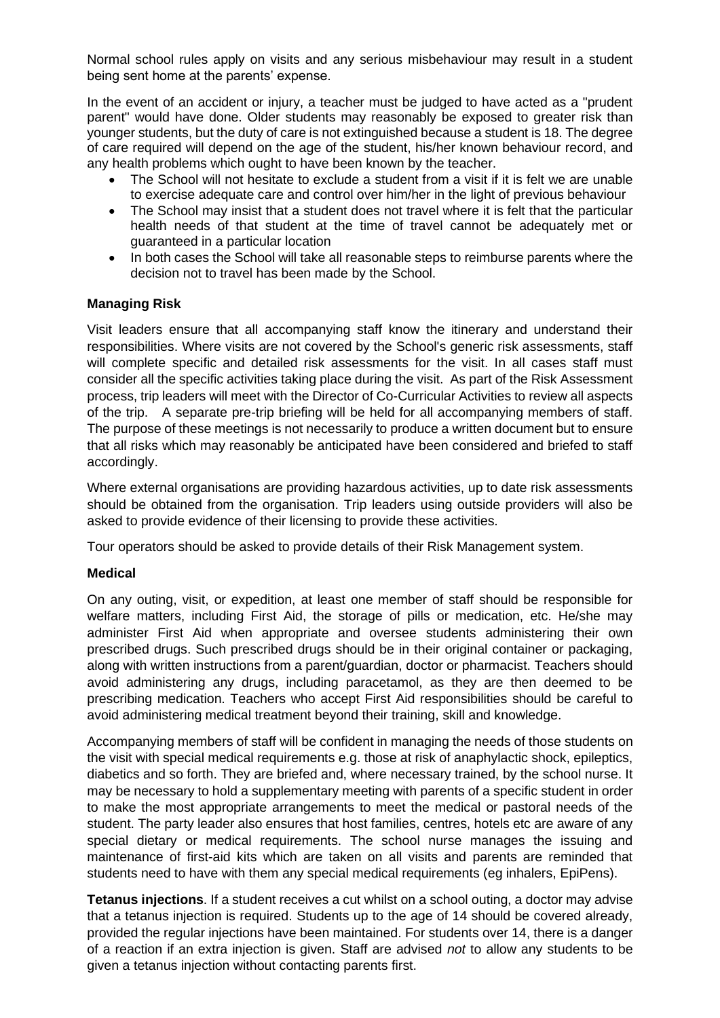Normal school rules apply on visits and any serious misbehaviour may result in a student being sent home at the parents' expense.

In the event of an accident or injury, a teacher must be judged to have acted as a "prudent parent" would have done. Older students may reasonably be exposed to greater risk than younger students, but the duty of care is not extinguished because a student is 18. The degree of care required will depend on the age of the student, his/her known behaviour record, and any health problems which ought to have been known by the teacher.

- The School will not hesitate to exclude a student from a visit if it is felt we are unable to exercise adequate care and control over him/her in the light of previous behaviour
- The School may insist that a student does not travel where it is felt that the particular health needs of that student at the time of travel cannot be adequately met or guaranteed in a particular location
- In both cases the School will take all reasonable steps to reimburse parents where the decision not to travel has been made by the School.

### **Managing Risk**

Visit leaders ensure that all accompanying staff know the itinerary and understand their responsibilities. Where visits are not covered by the School's generic risk assessments, staff will complete specific and detailed risk assessments for the visit. In all cases staff must consider all the specific activities taking place during the visit. As part of the Risk Assessment process, trip leaders will meet with the Director of Co-Curricular Activities to review all aspects of the trip. A separate pre-trip briefing will be held for all accompanying members of staff. The purpose of these meetings is not necessarily to produce a written document but to ensure that all risks which may reasonably be anticipated have been considered and briefed to staff accordingly.

Where external organisations are providing hazardous activities, up to date risk assessments should be obtained from the organisation. Trip leaders using outside providers will also be asked to provide evidence of their licensing to provide these activities.

Tour operators should be asked to provide details of their Risk Management system.

### **Medical**

On any outing, visit, or expedition, at least one member of staff should be responsible for welfare matters, including First Aid, the storage of pills or medication, etc. He/she may administer First Aid when appropriate and oversee students administering their own prescribed drugs. Such prescribed drugs should be in their original container or packaging, along with written instructions from a parent/guardian, doctor or pharmacist. Teachers should avoid administering any drugs, including paracetamol, as they are then deemed to be prescribing medication. Teachers who accept First Aid responsibilities should be careful to avoid administering medical treatment beyond their training, skill and knowledge.

Accompanying members of staff will be confident in managing the needs of those students on the visit with special medical requirements e.g. those at risk of anaphylactic shock, epileptics, diabetics and so forth. They are briefed and, where necessary trained, by the school nurse. It may be necessary to hold a supplementary meeting with parents of a specific student in order to make the most appropriate arrangements to meet the medical or pastoral needs of the student. The party leader also ensures that host families, centres, hotels etc are aware of any special dietary or medical requirements. The school nurse manages the issuing and maintenance of first-aid kits which are taken on all visits and parents are reminded that students need to have with them any special medical requirements (eg inhalers, EpiPens).

**Tetanus injections**. If a student receives a cut whilst on a school outing, a doctor may advise that a tetanus injection is required. Students up to the age of 14 should be covered already, provided the regular injections have been maintained. For students over 14, there is a danger of a reaction if an extra injection is given. Staff are advised *not* to allow any students to be given a tetanus injection without contacting parents first.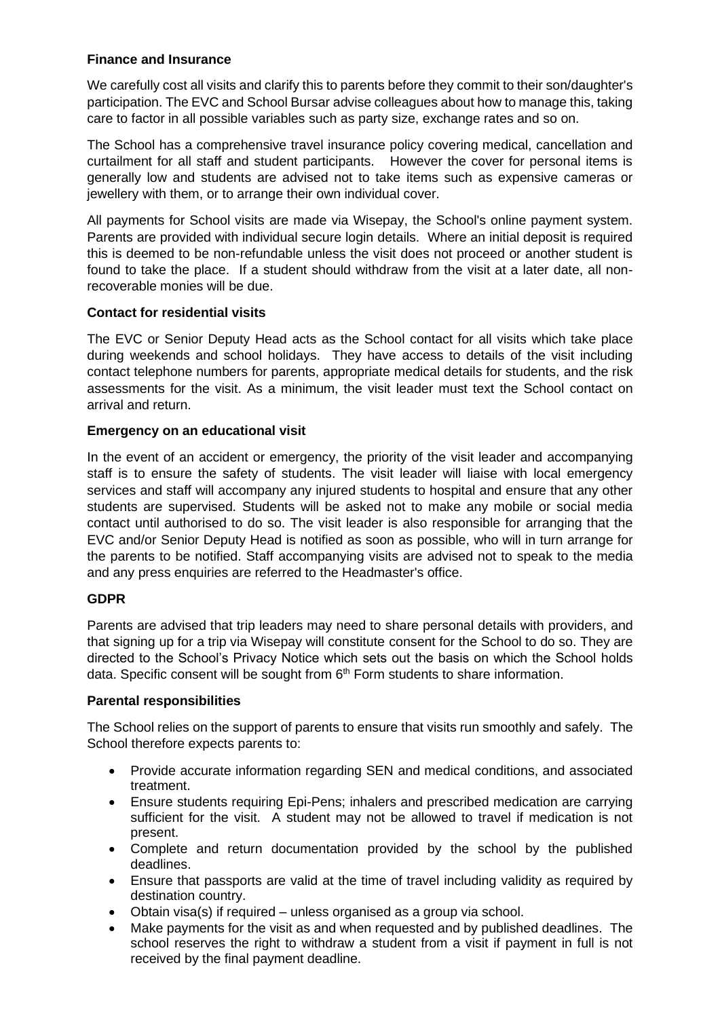## **Finance and Insurance**

We carefully cost all visits and clarify this to parents before they commit to their son/daughter's participation. The EVC and School Bursar advise colleagues about how to manage this, taking care to factor in all possible variables such as party size, exchange rates and so on.

The School has a comprehensive travel insurance policy covering medical, cancellation and curtailment for all staff and student participants. However the cover for personal items is generally low and students are advised not to take items such as expensive cameras or jewellery with them, or to arrange their own individual cover.

All payments for School visits are made via Wisepay, the School's online payment system. Parents are provided with individual secure login details. Where an initial deposit is required this is deemed to be non-refundable unless the visit does not proceed or another student is found to take the place. If a student should withdraw from the visit at a later date, all nonrecoverable monies will be due.

### **Contact for residential visits**

The EVC or Senior Deputy Head acts as the School contact for all visits which take place during weekends and school holidays. They have access to details of the visit including contact telephone numbers for parents, appropriate medical details for students, and the risk assessments for the visit. As a minimum, the visit leader must text the School contact on arrival and return.

### **Emergency on an educational visit**

In the event of an accident or emergency, the priority of the visit leader and accompanying staff is to ensure the safety of students. The visit leader will liaise with local emergency services and staff will accompany any injured students to hospital and ensure that any other students are supervised. Students will be asked not to make any mobile or social media contact until authorised to do so. The visit leader is also responsible for arranging that the EVC and/or Senior Deputy Head is notified as soon as possible, who will in turn arrange for the parents to be notified. Staff accompanying visits are advised not to speak to the media and any press enquiries are referred to the Headmaster's office.

### **GDPR**

Parents are advised that trip leaders may need to share personal details with providers, and that signing up for a trip via Wisepay will constitute consent for the School to do so. They are directed to the School's Privacy Notice which sets out the basis on which the School holds data. Specific consent will be sought from 6<sup>th</sup> Form students to share information.

#### **Parental responsibilities**

The School relies on the support of parents to ensure that visits run smoothly and safely. The School therefore expects parents to:

- Provide accurate information regarding SEN and medical conditions, and associated treatment.
- Ensure students requiring Epi-Pens; inhalers and prescribed medication are carrying sufficient for the visit. A student may not be allowed to travel if medication is not present.
- Complete and return documentation provided by the school by the published deadlines.
- Ensure that passports are valid at the time of travel including validity as required by destination country.
- Obtain visa(s) if required unless organised as a group via school.
- Make payments for the visit as and when requested and by published deadlines. The school reserves the right to withdraw a student from a visit if payment in full is not received by the final payment deadline.